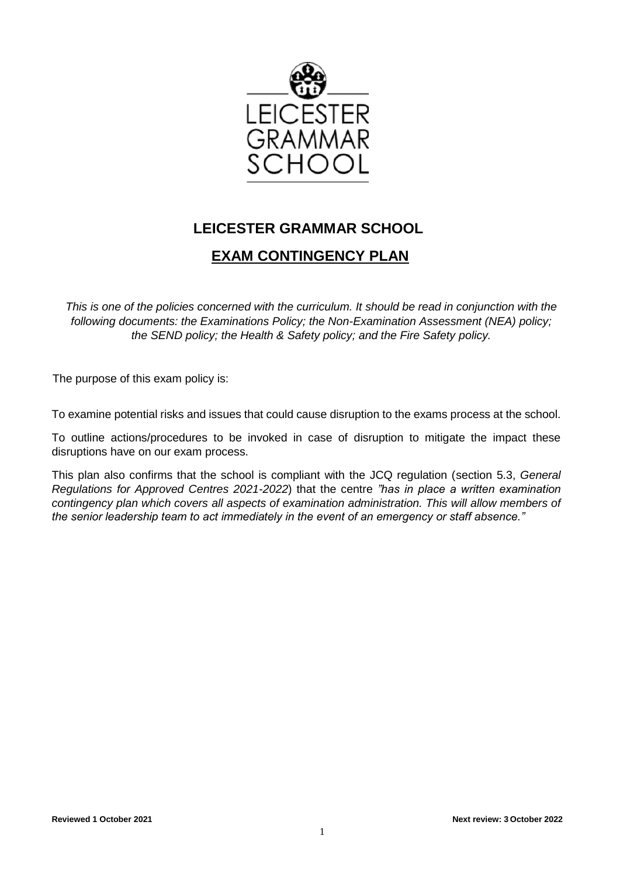

# **LEICESTER GRAMMAR SCHOOL**

# **EXAM CONTINGENCY PLAN**

*This is one of the policies concerned with the curriculum. It should be read in conjunction with the following documents: the Examinations Policy; the Non-Examination Assessment (NEA) policy; the SEND policy; the Health & Safety policy; and the Fire Safety policy.* 

The purpose of this exam policy is:

To examine potential risks and issues that could cause disruption to the exams process at the school.

To outline actions/procedures to be invoked in case of disruption to mitigate the impact these disruptions have on our exam process.

This plan also confirms that the school is compliant with the JCQ regulation (section 5.3, *General Regulations for Approved Centres 2021-2022*) that the centre *"has in place a written examination contingency plan which covers all aspects of examination administration. This will allow members of the senior leadership team to act immediately in the event of an emergency or staff absence."*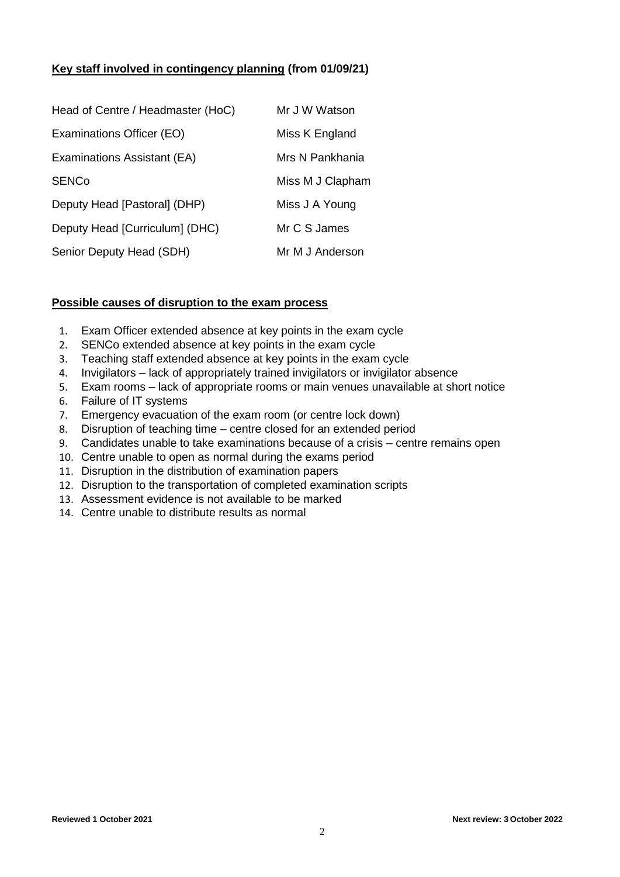# **Key staff involved in contingency planning (from 01/09/21)**

| Head of Centre / Headmaster (HoC) | Mr J W Watson    |
|-----------------------------------|------------------|
| Examinations Officer (EO)         | Miss K England   |
| Examinations Assistant (EA)       | Mrs N Pankhania  |
| <b>SENCo</b>                      | Miss M J Clapham |
| Deputy Head [Pastoral] (DHP)      | Miss J A Young   |
| Deputy Head [Curriculum] (DHC)    | Mr C S James     |
| Senior Deputy Head (SDH)          | Mr M J Anderson  |

## **Possible causes of disruption to the exam process**

- 1. Exam Officer extended absence at key points in the exam cycle
- 2. SENCo extended absence at key points in the exam cycle
- 3. Teaching staff extended absence at key points in the exam cycle
- 4. Invigilators lack of appropriately trained invigilators or invigilator absence
- 5. Exam rooms lack of appropriate rooms or main venues unavailable at short notice
- 6. Failure of IT systems
- 7. Emergency evacuation of the exam room (or centre lock down)
- 8. Disruption of teaching time centre closed for an extended period
- 9. Candidates unable to take examinations because of a crisis centre remains open
- 10. Centre unable to open as normal during the exams period
- 11. Disruption in the distribution of examination papers
- 12. Disruption to the transportation of completed examination scripts
- 13. Assessment evidence is not available to be marked
- 14. Centre unable to distribute results as normal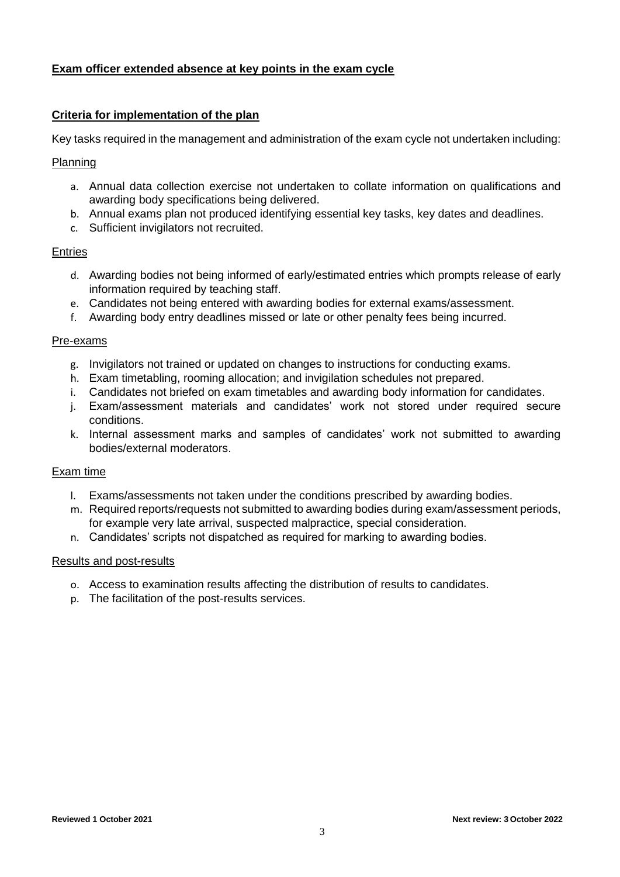# **Exam officer extended absence at key points in the exam cycle**

#### **Criteria for implementation of the plan**

Key tasks required in the management and administration of the exam cycle not undertaken including:

#### Planning

- a. Annual data collection exercise not undertaken to collate information on qualifications and awarding body specifications being delivered.
- b. Annual exams plan not produced identifying essential key tasks, key dates and deadlines.
- c. Sufficient invigilators not recruited.

#### **Entries**

- d. Awarding bodies not being informed of early/estimated entries which prompts release of early information required by teaching staff.
- e. Candidates not being entered with awarding bodies for external exams/assessment.
- f. Awarding body entry deadlines missed or late or other penalty fees being incurred.

#### Pre-exams

- g. Invigilators not trained or updated on changes to instructions for conducting exams.
- h. Exam timetabling, rooming allocation; and invigilation schedules not prepared.
- i. Candidates not briefed on exam timetables and awarding body information for candidates.
- j. Exam/assessment materials and candidates' work not stored under required secure conditions.
- k. Internal assessment marks and samples of candidates' work not submitted to awarding bodies/external moderators.

#### Exam time

- l. Exams/assessments not taken under the conditions prescribed by awarding bodies.
- m. Required reports/requests not submitted to awarding bodies during exam/assessment periods, for example very late arrival, suspected malpractice, special consideration.
- n. Candidates' scripts not dispatched as required for marking to awarding bodies.

#### Results and post-results

- o. Access to examination results affecting the distribution of results to candidates.
- p. The facilitation of the post-results services.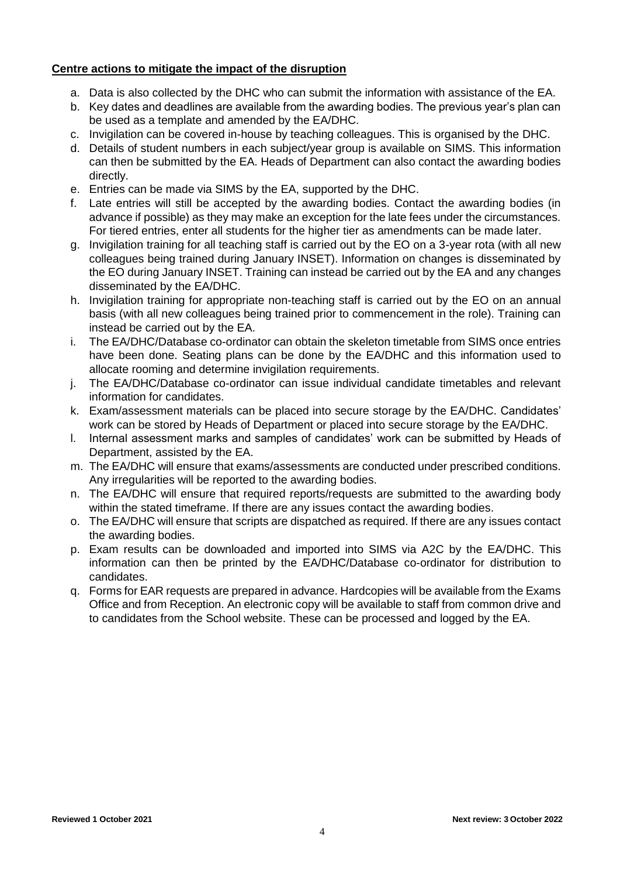# **Centre actions to mitigate the impact of the disruption**

- a. Data is also collected by the DHC who can submit the information with assistance of the EA.
- b. Key dates and deadlines are available from the awarding bodies. The previous year's plan can be used as a template and amended by the EA/DHC.
- c. Invigilation can be covered in-house by teaching colleagues. This is organised by the DHC.
- d. Details of student numbers in each subject/year group is available on SIMS. This information can then be submitted by the EA. Heads of Department can also contact the awarding bodies directly.
- e. Entries can be made via SIMS by the EA, supported by the DHC.
- f. Late entries will still be accepted by the awarding bodies. Contact the awarding bodies (in advance if possible) as they may make an exception for the late fees under the circumstances. For tiered entries, enter all students for the higher tier as amendments can be made later.
- g. Invigilation training for all teaching staff is carried out by the EO on a 3-year rota (with all new colleagues being trained during January INSET). Information on changes is disseminated by the EO during January INSET. Training can instead be carried out by the EA and any changes disseminated by the EA/DHC.
- h. Invigilation training for appropriate non-teaching staff is carried out by the EO on an annual basis (with all new colleagues being trained prior to commencement in the role). Training can instead be carried out by the EA.
- i. The EA/DHC/Database co-ordinator can obtain the skeleton timetable from SIMS once entries have been done. Seating plans can be done by the EA/DHC and this information used to allocate rooming and determine invigilation requirements.
- j. The EA/DHC/Database co-ordinator can issue individual candidate timetables and relevant information for candidates.
- k. Exam/assessment materials can be placed into secure storage by the EA/DHC. Candidates' work can be stored by Heads of Department or placed into secure storage by the EA/DHC.
- l. Internal assessment marks and samples of candidates' work can be submitted by Heads of Department, assisted by the EA.
- m. The EA/DHC will ensure that exams/assessments are conducted under prescribed conditions. Any irregularities will be reported to the awarding bodies.
- n. The EA/DHC will ensure that required reports/requests are submitted to the awarding body within the stated timeframe. If there are any issues contact the awarding bodies.
- o. The EA/DHC will ensure that scripts are dispatched as required. If there are any issues contact the awarding bodies.
- p. Exam results can be downloaded and imported into SIMS via A2C by the EA/DHC. This information can then be printed by the EA/DHC/Database co-ordinator for distribution to candidates.
- q. Forms for EAR requests are prepared in advance. Hardcopies will be available from the Exams Office and from Reception. An electronic copy will be available to staff from common drive and to candidates from the School website. These can be processed and logged by the EA.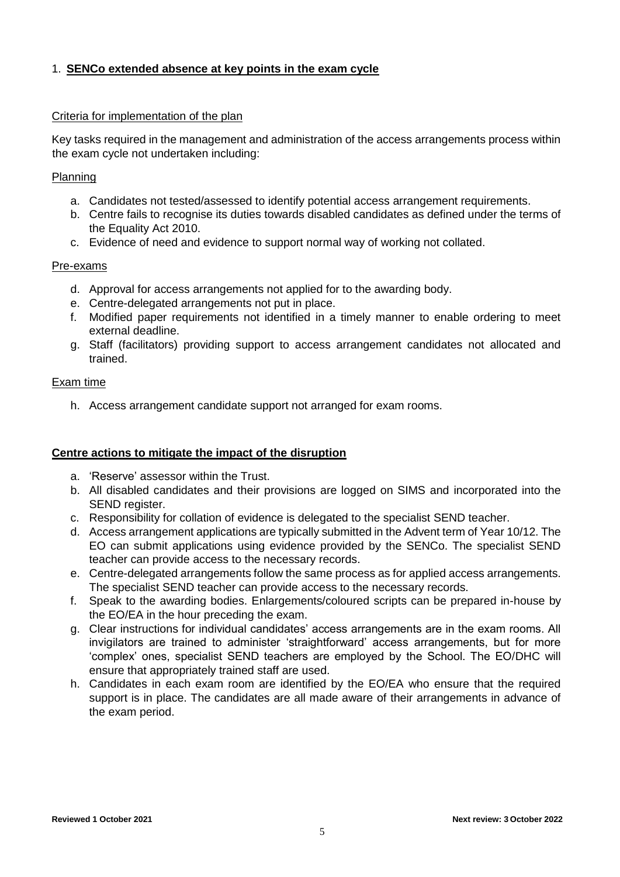# 1. **SENCo extended absence at key points in the exam cycle**

#### Criteria for implementation of the plan

Key tasks required in the management and administration of the access arrangements process within the exam cycle not undertaken including:

#### Planning

- a. Candidates not tested/assessed to identify potential access arrangement requirements.
- b. Centre fails to recognise its duties towards disabled candidates as defined under the terms of the Equality Act 2010.
- c. Evidence of need and evidence to support normal way of working not collated.

#### Pre-exams

- d. Approval for access arrangements not applied for to the awarding body.
- e. Centre-delegated arrangements not put in place.
- f. Modified paper requirements not identified in a timely manner to enable ordering to meet external deadline.
- g. Staff (facilitators) providing support to access arrangement candidates not allocated and trained.

#### Exam time

h. Access arrangement candidate support not arranged for exam rooms.

#### **Centre actions to mitigate the impact of the disruption**

- a. 'Reserve' assessor within the Trust.
- b. All disabled candidates and their provisions are logged on SIMS and incorporated into the SEND register.
- c. Responsibility for collation of evidence is delegated to the specialist SEND teacher.
- d. Access arrangement applications are typically submitted in the Advent term of Year 10/12. The EO can submit applications using evidence provided by the SENCo. The specialist SEND teacher can provide access to the necessary records.
- e. Centre-delegated arrangements follow the same process as for applied access arrangements. The specialist SEND teacher can provide access to the necessary records.
- f. Speak to the awarding bodies. Enlargements/coloured scripts can be prepared in-house by the EO/EA in the hour preceding the exam.
- g. Clear instructions for individual candidates' access arrangements are in the exam rooms. All invigilators are trained to administer 'straightforward' access arrangements, but for more 'complex' ones, specialist SEND teachers are employed by the School. The EO/DHC will ensure that appropriately trained staff are used.
- h. Candidates in each exam room are identified by the EO/EA who ensure that the required support is in place. The candidates are all made aware of their arrangements in advance of the exam period.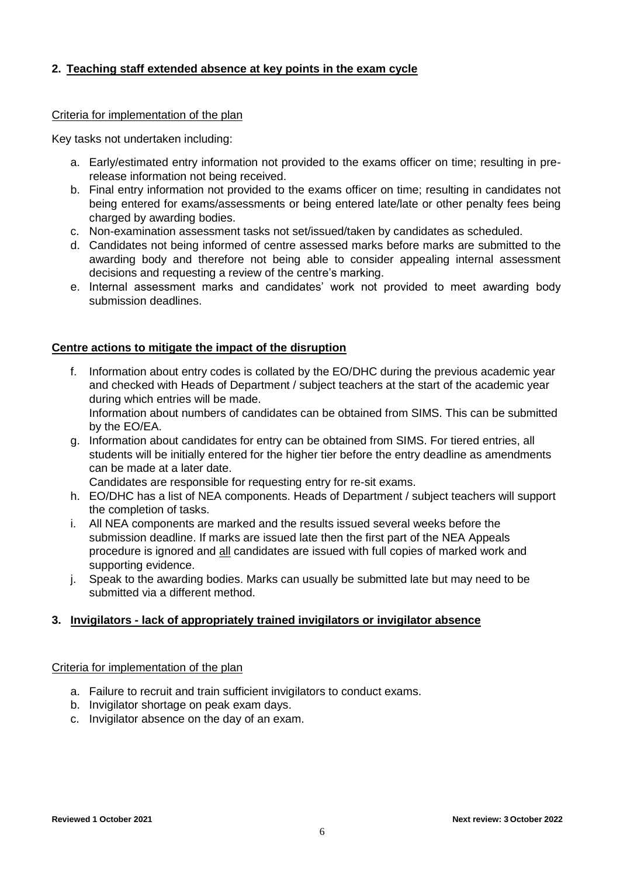# **2. Teaching staff extended absence at key points in the exam cycle**

#### Criteria for implementation of the plan

Key tasks not undertaken including:

- a. Early/estimated entry information not provided to the exams officer on time; resulting in prerelease information not being received.
- b. Final entry information not provided to the exams officer on time; resulting in candidates not being entered for exams/assessments or being entered late/late or other penalty fees being charged by awarding bodies.
- c. Non-examination assessment tasks not set/issued/taken by candidates as scheduled.
- d. Candidates not being informed of centre assessed marks before marks are submitted to the awarding body and therefore not being able to consider appealing internal assessment decisions and requesting a review of the centre's marking.
- e. Internal assessment marks and candidates' work not provided to meet awarding body submission deadlines.

## **Centre actions to mitigate the impact of the disruption**

f. Information about entry codes is collated by the EO/DHC during the previous academic year and checked with Heads of Department / subject teachers at the start of the academic year during which entries will be made.

Information about numbers of candidates can be obtained from SIMS. This can be submitted by the EO/EA.

g. Information about candidates for entry can be obtained from SIMS. For tiered entries, all students will be initially entered for the higher tier before the entry deadline as amendments can be made at a later date.

Candidates are responsible for requesting entry for re-sit exams.

- h. EO/DHC has a list of NEA components. Heads of Department / subject teachers will support the completion of tasks.
- i. All NEA components are marked and the results issued several weeks before the submission deadline. If marks are issued late then the first part of the NEA Appeals procedure is ignored and all candidates are issued with full copies of marked work and supporting evidence.
- j. Speak to the awarding bodies. Marks can usually be submitted late but may need to be submitted via a different method.

## **3. Invigilators - lack of appropriately trained invigilators or invigilator absence**

## Criteria for implementation of the plan

- a. Failure to recruit and train sufficient invigilators to conduct exams.
- b. Invigilator shortage on peak exam days.
- c. Invigilator absence on the day of an exam.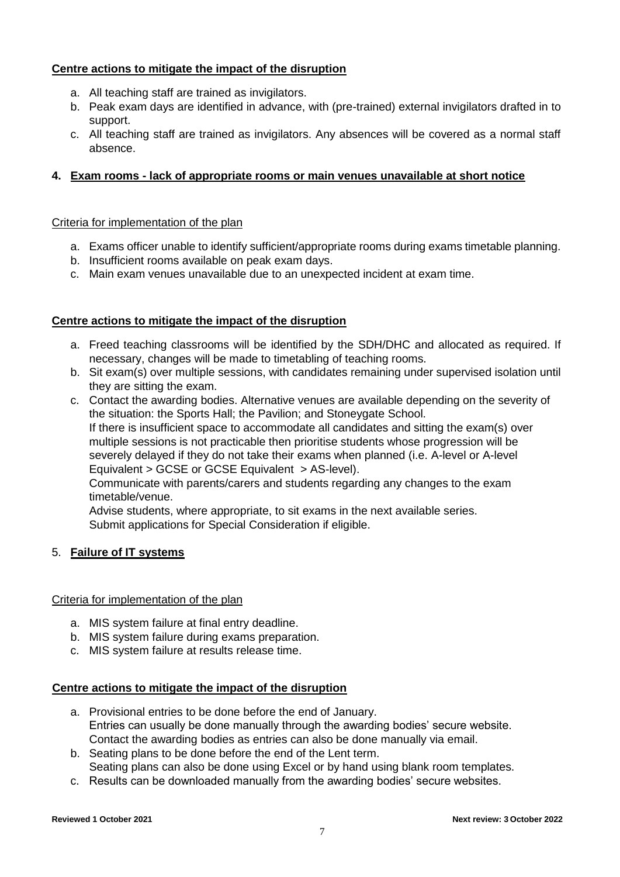# **Centre actions to mitigate the impact of the disruption**

- a. All teaching staff are trained as invigilators.
- b. Peak exam days are identified in advance, with (pre-trained) external invigilators drafted in to support.
- c. All teaching staff are trained as invigilators. Any absences will be covered as a normal staff absence.

## **4. Exam rooms - lack of appropriate rooms or main venues unavailable at short notice**

#### Criteria for implementation of the plan

- a. Exams officer unable to identify sufficient/appropriate rooms during exams timetable planning.
- b. Insufficient rooms available on peak exam days.
- c. Main exam venues unavailable due to an unexpected incident at exam time.

#### **Centre actions to mitigate the impact of the disruption**

- a. Freed teaching classrooms will be identified by the SDH/DHC and allocated as required. If necessary, changes will be made to timetabling of teaching rooms.
- b. Sit exam(s) over multiple sessions, with candidates remaining under supervised isolation until they are sitting the exam.
- c. Contact the awarding bodies. Alternative venues are available depending on the severity of the situation: the Sports Hall; the Pavilion; and Stoneygate School. If there is insufficient space to accommodate all candidates and sitting the exam(s) over multiple sessions is not practicable then prioritise students whose progression will be

severely delayed if they do not take their exams when planned (i.e. A-level or A-level Equivalent > GCSE or GCSE Equivalent > AS-level).

Communicate with parents/carers and students regarding any changes to the exam timetable/venue.

Advise students, where appropriate, to sit exams in the next available series. Submit applications for Special Consideration if eligible.

## 5. **Failure of IT systems**

#### Criteria for implementation of the plan

- a. MIS system failure at final entry deadline.
- b. MIS system failure during exams preparation.
- c. MIS system failure at results release time.

## **Centre actions to mitigate the impact of the disruption**

- a. Provisional entries to be done before the end of January. Entries can usually be done manually through the awarding bodies' secure website. Contact the awarding bodies as entries can also be done manually via email.
- b. Seating plans to be done before the end of the Lent term. Seating plans can also be done using Excel or by hand using blank room templates.
- c. Results can be downloaded manually from the awarding bodies' secure websites.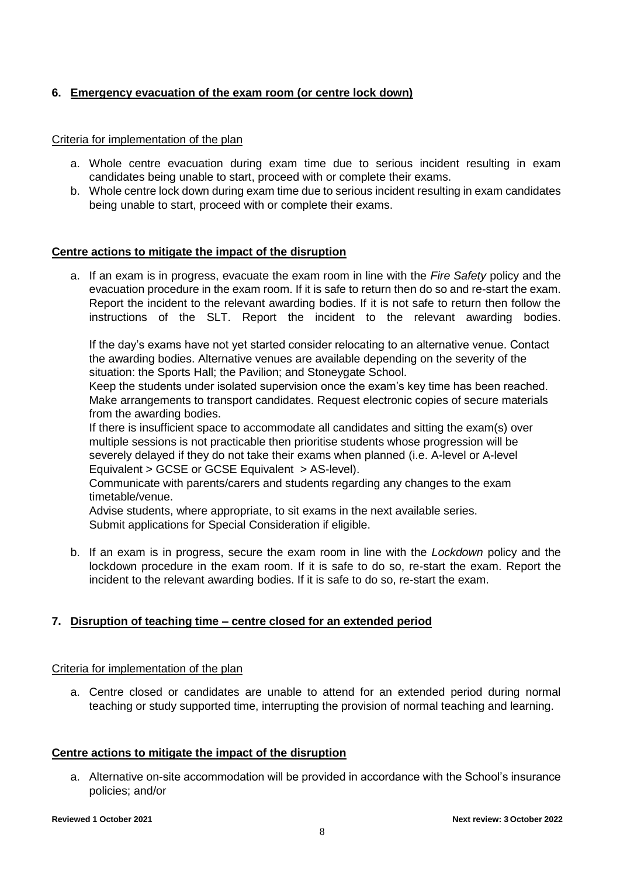# **6. Emergency evacuation of the exam room (or centre lock down)**

#### Criteria for implementation of the plan

- a. Whole centre evacuation during exam time due to serious incident resulting in exam candidates being unable to start, proceed with or complete their exams.
- b. Whole centre lock down during exam time due to serious incident resulting in exam candidates being unable to start, proceed with or complete their exams.

#### **Centre actions to mitigate the impact of the disruption**

a. If an exam is in progress, evacuate the exam room in line with the *Fire Safety* policy and the evacuation procedure in the exam room. If it is safe to return then do so and re-start the exam. Report the incident to the relevant awarding bodies. If it is not safe to return then follow the instructions of the SLT. Report the incident to the relevant awarding bodies.

If the day's exams have not yet started consider relocating to an alternative venue. Contact the awarding bodies. Alternative venues are available depending on the severity of the situation: the Sports Hall; the Pavilion; and Stoneygate School.

Keep the students under isolated supervision once the exam's key time has been reached. Make arrangements to transport candidates. Request electronic copies of secure materials from the awarding bodies.

If there is insufficient space to accommodate all candidates and sitting the exam(s) over multiple sessions is not practicable then prioritise students whose progression will be severely delayed if they do not take their exams when planned (i.e. A-level or A-level Equivalent > GCSE or GCSE Equivalent > AS-level).

Communicate with parents/carers and students regarding any changes to the exam timetable/venue.

Advise students, where appropriate, to sit exams in the next available series. Submit applications for Special Consideration if eligible.

b. If an exam is in progress, secure the exam room in line with the *Lockdown* policy and the lockdown procedure in the exam room. If it is safe to do so, re-start the exam. Report the incident to the relevant awarding bodies. If it is safe to do so, re-start the exam.

## **7. Disruption of teaching time – centre closed for an extended period**

## Criteria for implementation of the plan

a. Centre closed or candidates are unable to attend for an extended period during normal teaching or study supported time, interrupting the provision of normal teaching and learning.

## **Centre actions to mitigate the impact of the disruption**

a. Alternative on-site accommodation will be provided in accordance with the School's insurance policies; and/or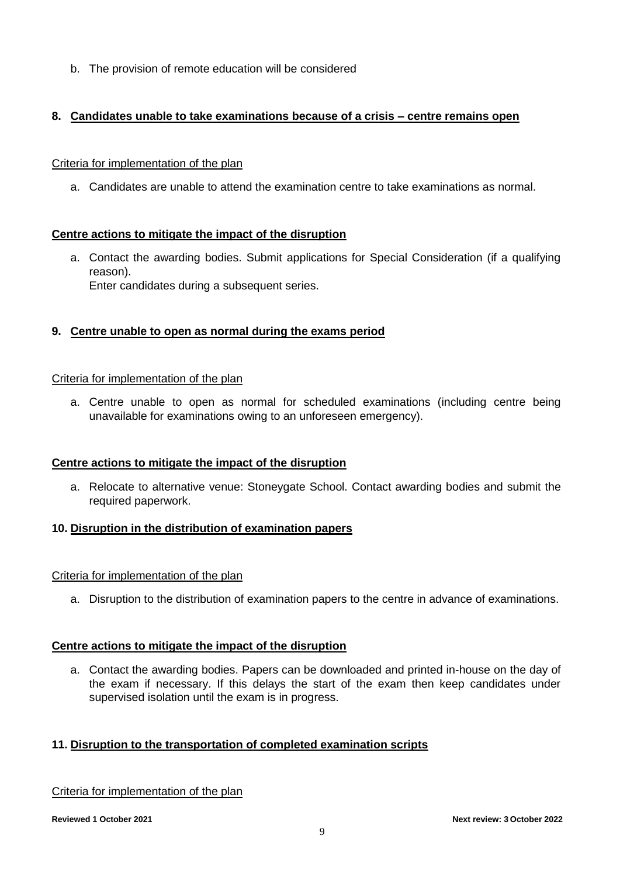b. The provision of remote education will be considered

# **8. Candidates unable to take examinations because of a crisis – centre remains open**

## Criteria for implementation of the plan

a. Candidates are unable to attend the examination centre to take examinations as normal.

## **Centre actions to mitigate the impact of the disruption**

a. Contact the awarding bodies. Submit applications for Special Consideration (if a qualifying reason). Enter candidates during a subsequent series.

# **9. Centre unable to open as normal during the exams period**

#### Criteria for implementation of the plan

a. Centre unable to open as normal for scheduled examinations (including centre being unavailable for examinations owing to an unforeseen emergency).

## **Centre actions to mitigate the impact of the disruption**

a. Relocate to alternative venue: Stoneygate School. Contact awarding bodies and submit the required paperwork.

## **10. Disruption in the distribution of examination papers**

#### Criteria for implementation of the plan

a. Disruption to the distribution of examination papers to the centre in advance of examinations.

## **Centre actions to mitigate the impact of the disruption**

a. Contact the awarding bodies. Papers can be downloaded and printed in-house on the day of the exam if necessary. If this delays the start of the exam then keep candidates under supervised isolation until the exam is in progress.

## **11. Disruption to the transportation of completed examination scripts**

## Criteria for implementation of the plan